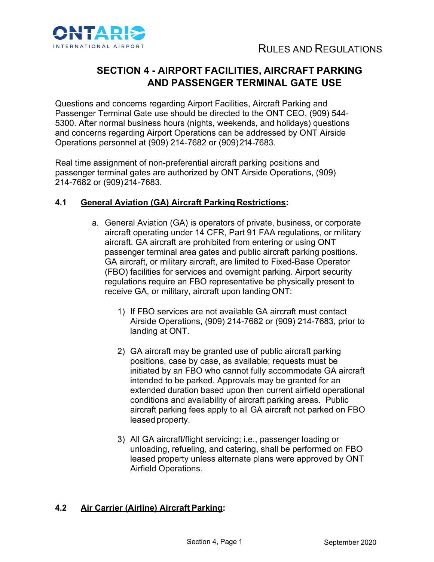

# **SECTION 4 - AIRPORT FACILITIES, AIRCRAFT PARKING AND PASSENGER TERMINAL GATE USE**

Questions and concerns regarding Airport Facilities, Aircraft Parking and Passenger Terminal Gate use should be directed to the ONT CEO, (909) 544- 5300. After normal business hours (nights, weekends, and holidays) questions and concerns regarding Airport Operations can be addressed by ONT Airside Operations personnel at (909) 214-7682 or (909)214 -7683.

Real time assignment of non-preferential aircraft parking positions and passenger terminal gates are authorized by ONT Airside Operations, (909) 214-7682 or (909)214 -7683.

## **4.1 General Aviation (GA) Aircraft Parking Restrictions:**

- a. General Aviation (GA) is operators of private, business, or corporate aircraft operating under 14 CFR, Part 91 FAA regulations, or military aircraft. GA aircraft are prohibited from entering or using ONT passenger terminal area gates and public aircraft parking positions. GA aircraft, or military aircraft, are limited to Fixed-Base Operator (FBO) facilities for services and overnight parking. Airport security regulations require an FBO representative be physically present to receive GA, or military, aircraft upon landing ONT:
	- 1) If FBO services are not available GA aircraft must contact Airside Operations, (909) 214-7682 or (909) 214-7683, prior to landing at ONT.
	- 2) GA aircraft may be granted use of public aircraft parking positions, case by case, as available; requests must be initiated by an FBO who cannot fully accommodate GA aircraft intended to be parked. Approvals may be granted for an extended duration based upon then current airfield operational conditions and availability of aircraft parking areas. Public aircraft parking fees apply to all GA aircraft not parked on FBO leased property.
	- 3) All GA aircraft/flight servicing; i.e., passenger loading or unloading, refueling, and catering, shall be performed on FBO leased property unless alternate plans were approved by ONT Airfield Operations.

# **4.2 Air Carrier (Airline) Aircraft Parking:**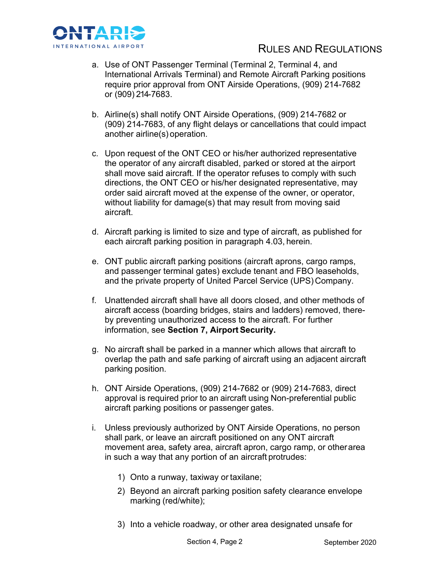

- a. Use of ONT Passenger Terminal (Terminal 2, Terminal 4, and International Arrivals Terminal) and Remote Aircraft Parking positions require prior approval from ONT Airside Operations, (909) 214-7682 or (909) 214-7683.
- b. Airline(s) shall notify ONT Airside Operations, (909) 214-7682 or (909) 214-7683, of any flight delays or cancellations that could impact another airline(s) operation.
- c. Upon request of the ONT CEO or his/her authorized representative the operator of any aircraft disabled, parked or stored at the airport shall move said aircraft. If the operator refuses to comply with such directions, the ONT CEO or his/her designated representative, may order said aircraft moved at the expense of the owner, or operator, without liability for damage(s) that may result from moving said aircraft.
- d. Aircraft parking is limited to size and type of aircraft, as published for each aircraft parking position in paragraph 4.03, herein.
- e. ONT public aircraft parking positions (aircraft aprons, cargo ramps, and passenger terminal gates) exclude tenant and FBO leaseholds, and the private property of United Parcel Service (UPS) Company.
- f. Unattended aircraft shall have all doors closed, and other methods of aircraft access (boarding bridges, stairs and ladders) removed, thereby preventing unauthorized access to the aircraft. For further information, see **Section 7, Airport Security.**
- g. No aircraft shall be parked in a manner which allows that aircraft to overlap the path and safe parking of aircraft using an adjacent aircraft parking position.
- h. ONT Airside Operations, (909) 214-7682 or (909) 214-7683, direct approval is required prior to an aircraft using Non-preferential public aircraft parking positions or passenger gates.
- i. Unless previously authorized by ONT Airside Operations, no person shall park, or leave an aircraft positioned on any ONT aircraft movement area, safety area, aircraft apron, cargo ramp, or otherarea in such a way that any portion of an aircraft protrudes:
	- 1) Onto a runway, taxiway or taxilane;
	- 2) Beyond an aircraft parking position safety clearance envelope marking (red/white);
	- 3) Into a vehicle roadway, or other area designated unsafe for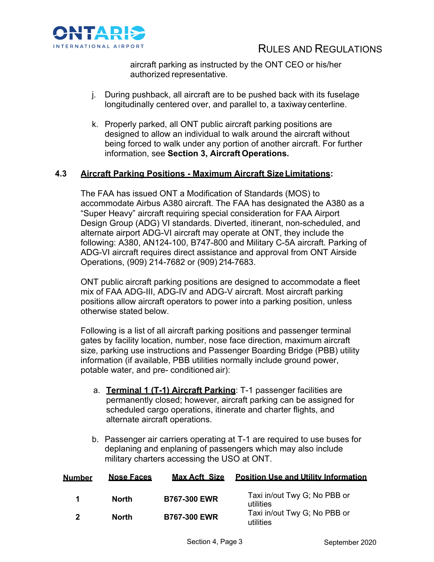

aircraft parking as instructed by the ONT CEO or his/her authorized representative.

- j. During pushback, all aircraft are to be pushed back with its fuselage longitudinally centered over, and parallel to, a taxiway centerline.
- k. Properly parked, all ONT public aircraft parking positions are designed to allow an individual to walk around the aircraft without being forced to walk under any portion of another aircraft. For further information, see **Section 3, Aircraft Operations.**

## **4.3 Aircraft Parking Positions - Maximum Aircraft SizeLimitations:**

The FAA has issued ONT a Modification of Standards (MOS) to accommodate Airbus A380 aircraft. The FAA has designated the A380 as a "Super Heavy" aircraft requiring special consideration for FAA Airport Design Group (ADG) VI standards. Diverted, itinerant, non-scheduled, and alternate airport ADG-VI aircraft may operate at ONT, they include the following: A380, AN124-100, B747-800 and Military C-5A aircraft. Parking of ADG-VI aircraft requires direct assistance and approval from ONT Airside Operations, (909) 214-7682 or (909) 214-7683.

ONT public aircraft parking positions are designed to accommodate a fleet mix of FAA ADG-III, ADG-IV and ADG-V aircraft. Most aircraft parking positions allow aircraft operators to power into a parking position, unless otherwise stated below.

Following is a list of all aircraft parking positions and passenger terminal gates by facility location, number, nose face direction, maximum aircraft size, parking use instructions and Passenger Boarding Bridge (PBB) utility information (if available, PBB utilities normally include ground power, potable water, and pre- conditioned air):

- a. **Terminal 1 (T-1) Aircraft Parking**: T-1 passenger facilities are permanently closed; however, aircraft parking can be assigned for scheduled cargo operations, itinerate and charter flights, and alternate aircraft operations.
- b. Passenger air carriers operating at T-1 are required to use buses for deplaning and enplaning of passengers which may also include military charters accessing the USO at ONT.

| <b>Number</b> | <b>Nose Faces</b> | <b>Max Acft Size</b> | <b>Position Use and Utility Information</b> |
|---------------|-------------------|----------------------|---------------------------------------------|
|               | <b>North</b>      | <b>B767-300 EWR</b>  | Taxi in/out Twy G; No PBB or<br>utilities   |
| 2             | <b>North</b>      | <b>B767-300 EWR</b>  | Taxi in/out Twy G; No PBB or<br>utilities   |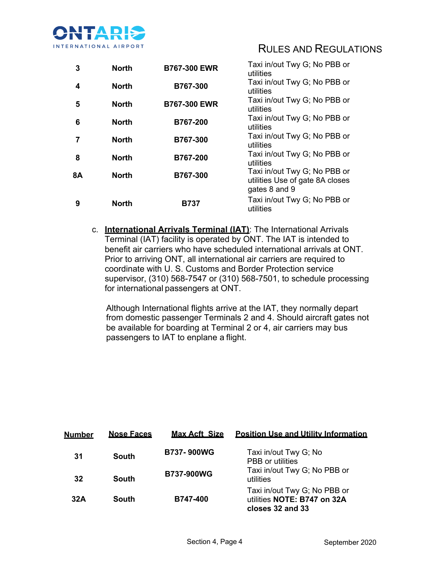

| 3         | <b>North</b> | <b>B767-300 EWR</b> | Taxi in/out Twy G; No PBB or<br>utilities                                        |
|-----------|--------------|---------------------|----------------------------------------------------------------------------------|
| 4         | <b>North</b> | B767-300            | Taxi in/out Twy G; No PBB or<br>utilities                                        |
| 5         | <b>North</b> | <b>B767-300 EWR</b> | Taxi in/out Twy G; No PBB or<br>utilities                                        |
| 6         | <b>North</b> | B767-200            | Taxi in/out Twy G; No PBB or<br>utilities                                        |
| 7         | <b>North</b> | B767-300            | Taxi in/out Twy G; No PBB or<br>utilities                                        |
| 8         | <b>North</b> | B767-200            | Taxi in/out Twy G; No PBB or<br>utilities                                        |
| <b>8A</b> | <b>North</b> | B767-300            | Taxi in/out Twy G; No PBB or<br>utilities Use of gate 8A closes<br>gates 8 and 9 |
| 9         | <b>North</b> | <b>B737</b>         | Taxi in/out Twy G; No PBB or<br>utilities                                        |

c. **International Arrivals Terminal (IAT)**: The International Arrivals Terminal (IAT) facility is operated by ONT. The IAT is intended to benefit air carriers who have scheduled international arrivals at ONT. Prior to arriving ONT, all international air carriers are required to coordinate with U. S. Customs and Border Protection service supervisor, (310) 568-7547 or (310) 568-7501, to schedule processing for international passengers at ONT.

Although International flights arrive at the IAT, they normally depart from domestic passenger Terminals 2 and 4. Should aircraft gates not be available for boarding at Terminal 2 or 4, air carriers may bus passengers to IAT to enplane a flight.

| <b>Number</b> | <b>Nose Faces</b> | <b>Max Acft Size</b> | <b>Position Use and Utility Information</b>                                     |
|---------------|-------------------|----------------------|---------------------------------------------------------------------------------|
| 31            | South             | <b>B737-900WG</b>    | Taxi in/out Twy G; No<br><b>PBB</b> or utilities                                |
| 32            | South             | <b>B737-900WG</b>    | Taxi in/out Twy G; No PBB or<br>utilities                                       |
| 32A           | South             | <b>B747-400</b>      | Taxi in/out Twy G; No PBB or<br>utilities NOTE: B747 on 32A<br>closes 32 and 33 |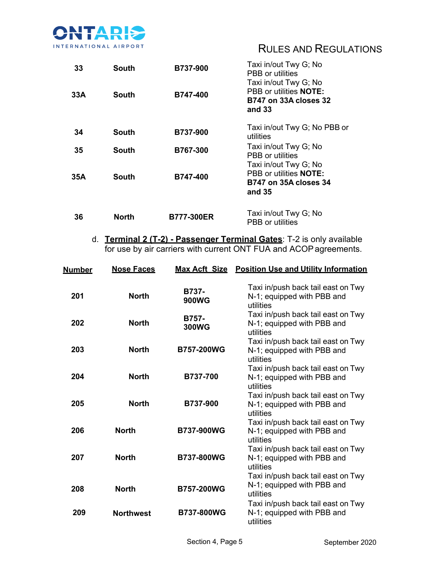

| 33  | South        | <b>B737-900</b>   | Taxi in/out Twy G; No<br>PBB or utilities<br>Taxi in/out Twy G; No                                 |
|-----|--------------|-------------------|----------------------------------------------------------------------------------------------------|
| 33A | South        | <b>B747-400</b>   | PBB or utilities <b>NOTE:</b><br><b>B747 on 33A closes 32</b><br>and 33                            |
| 34  | <b>South</b> | B737-900          | Taxi in/out Twy G; No PBB or<br>utilities                                                          |
| 35  | <b>South</b> | B767-300          | Taxi in/out Twy G; No<br><b>PBB</b> or utilities                                                   |
| 35A | <b>South</b> | <b>B747-400</b>   | Taxi in/out Twy G; No<br>PBB or utilities <b>NOTE:</b><br><b>B747 on 35A closes 34</b><br>and $35$ |
| 36  | <b>North</b> | <b>B777-300ER</b> | Taxi in/out Twy G; No<br>PBB or utilities                                                          |

d. **Terminal 2 (T-2) - Passenger Terminal Gates**: T-2 is only available for use by air carriers with current ONT FUA and ACOP agreements.

| <b>Number</b> | <b>Nose Faces</b> |                       | Max Acft Size Position Use and Utility Information                            |
|---------------|-------------------|-----------------------|-------------------------------------------------------------------------------|
| 201           | <b>North</b>      | B737-<br><b>900WG</b> | Taxi in/push back tail east on Twy<br>N-1; equipped with PBB and<br>utilities |
| 202           | <b>North</b>      | B757-<br><b>300WG</b> | Taxi in/push back tail east on Twy<br>N-1; equipped with PBB and<br>utilities |
| 203           | <b>North</b>      | <b>B757-200WG</b>     | Taxi in/push back tail east on Twy<br>N-1; equipped with PBB and<br>utilities |
| 204           | <b>North</b>      | B737-700              | Taxi in/push back tail east on Twy<br>N-1; equipped with PBB and<br>utilities |
| 205           | <b>North</b>      | B737-900              | Taxi in/push back tail east on Twy<br>N-1; equipped with PBB and<br>utilities |
| 206           | <b>North</b>      | <b>B737-900WG</b>     | Taxi in/push back tail east on Twy<br>N-1; equipped with PBB and<br>utilities |
| 207           | <b>North</b>      | <b>B737-800WG</b>     | Taxi in/push back tail east on Twy<br>N-1; equipped with PBB and<br>utilities |
| 208           | <b>North</b>      | <b>B757-200WG</b>     | Taxi in/push back tail east on Twy<br>N-1; equipped with PBB and<br>utilities |
| 209           | <b>Northwest</b>  | <b>B737-800WG</b>     | Taxi in/push back tail east on Twy<br>N-1; equipped with PBB and<br>utilities |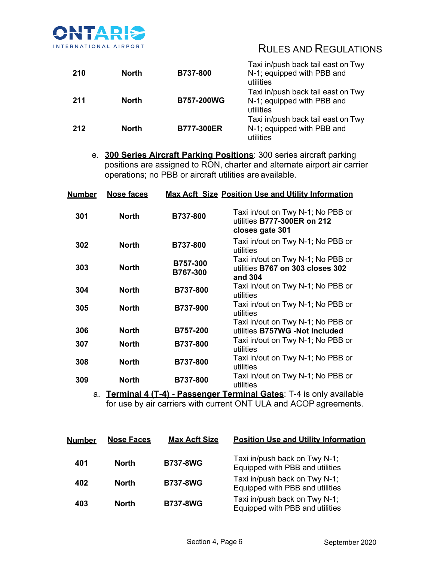

| 210 | <b>North</b> | <b>B737-800</b>   | Taxi in/push back tail east on Twy<br>N-1; equipped with PBB and<br>utilities |
|-----|--------------|-------------------|-------------------------------------------------------------------------------|
| 211 | <b>North</b> | <b>B757-200WG</b> | Taxi in/push back tail east on Twy<br>N-1; equipped with PBB and<br>utilities |
| 212 | <b>North</b> | <b>B777-300ER</b> | Taxi in/push back tail east on Twy<br>N-1; equipped with PBB and<br>utilities |

e. **300 Series Aircraft Parking Positions**: 300 series aircraft parking positions are assigned to RON, charter and alternate airport air carrier operations; no PBB or aircraft utilities are available.

| <u>Number</u> | <b>Nose faces</b> |                      | <b>Max Acft Size Position Use and Utility Information</b>                           |
|---------------|-------------------|----------------------|-------------------------------------------------------------------------------------|
| 301           | <b>North</b>      | B737-800             | Taxi in/out on Twy N-1; No PBB or<br>utilities B777-300ER on 212<br>closes gate 301 |
| 302           | <b>North</b>      | B737-800             | Taxi in/out on Twy N-1; No PBB or<br>utilities                                      |
| 303           | <b>North</b>      | B757-300<br>B767-300 | Taxi in/out on Twy N-1; No PBB or<br>utilities B767 on 303 closes 302<br>and 304    |
| 304           | <b>North</b>      | <b>B737-800</b>      | Taxi in/out on Twy N-1; No PBB or<br>utilities                                      |
| 305           | <b>North</b>      | B737-900             | Taxi in/out on Twy N-1; No PBB or<br>utilities                                      |
|               |                   |                      | Taxi in/out on Twy N-1; No PBB or                                                   |
| 306           | <b>North</b>      | B757-200             | utilities B757WG -Not Included                                                      |
| 307           | <b>North</b>      | <b>B737-800</b>      | Taxi in/out on Twy N-1; No PBB or<br>utilities                                      |
| 308           | <b>North</b>      | <b>B737-800</b>      | Taxi in/out on Twy N-1; No PBB or<br>utilities                                      |
| 309           | <b>North</b>      | <b>B737-800</b>      | Taxi in/out on Twy N-1; No PBB or<br>utilities                                      |

a. **Terminal 4 (T-4) - Passenger Terminal Gates**: T-4 is only available for use by air carriers with current ONT ULA and ACOP agreements.

| <b>Number</b> | <b>Nose Faces</b> | <b>Max Acft Size</b> | <b>Position Use and Utility Information</b>                      |
|---------------|-------------------|----------------------|------------------------------------------------------------------|
| 401           | <b>North</b>      | <b>B737-8WG</b>      | Taxi in/push back on Twy N-1;<br>Equipped with PBB and utilities |
| 402           | <b>North</b>      | <b>B737-8WG</b>      | Taxi in/push back on Twy N-1;<br>Equipped with PBB and utilities |
| 403           | <b>North</b>      | <b>B737-8WG</b>      | Taxi in/push back on Twy N-1;<br>Equipped with PBB and utilities |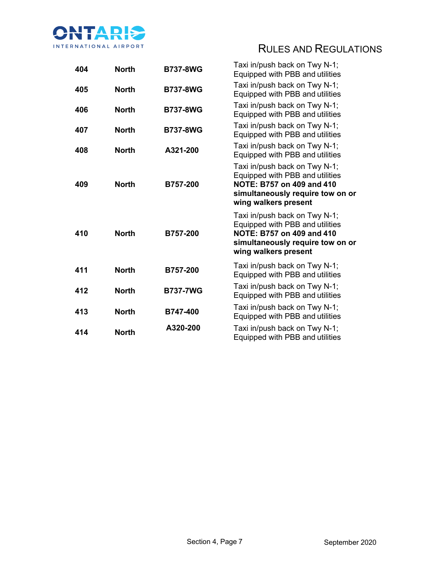

| 404 | <b>North</b> | <b>B737-8WG</b> | Taxi in/push back on Twy N-1;<br>Equipped with PBB and utilities                                                                                          |
|-----|--------------|-----------------|-----------------------------------------------------------------------------------------------------------------------------------------------------------|
| 405 | <b>North</b> | <b>B737-8WG</b> | Taxi in/push back on Twy N-1;<br>Equipped with PBB and utilities                                                                                          |
| 406 | <b>North</b> | <b>B737-8WG</b> | Taxi in/push back on Twy N-1;<br>Equipped with PBB and utilities                                                                                          |
| 407 | <b>North</b> | <b>B737-8WG</b> | Taxi in/push back on Twy N-1;<br>Equipped with PBB and utilities                                                                                          |
| 408 | <b>North</b> | A321-200        | Taxi in/push back on Twy N-1;<br>Equipped with PBB and utilities                                                                                          |
| 409 | <b>North</b> | B757-200        | Taxi in/push back on Twy N-1;<br>Equipped with PBB and utilities<br>NOTE: B757 on 409 and 410<br>simultaneously require tow on or<br>wing walkers present |
| 410 | <b>North</b> | B757-200        | Taxi in/push back on Twy N-1;<br>Equipped with PBB and utilities<br>NOTE: B757 on 409 and 410<br>simultaneously require tow on or<br>wing walkers present |
| 411 | <b>North</b> | B757-200        | Taxi in/push back on Twy N-1;<br>Equipped with PBB and utilities                                                                                          |
| 412 | <b>North</b> | <b>B737-7WG</b> | Taxi in/push back on Twy N-1;<br>Equipped with PBB and utilities                                                                                          |
| 413 | <b>North</b> | B747-400        | Taxi in/push back on Twy N-1;<br>Equipped with PBB and utilities                                                                                          |
| 414 | <b>North</b> | A320-200        | Taxi in/push back on Twy N-1;<br>Equipped with PBB and utilities                                                                                          |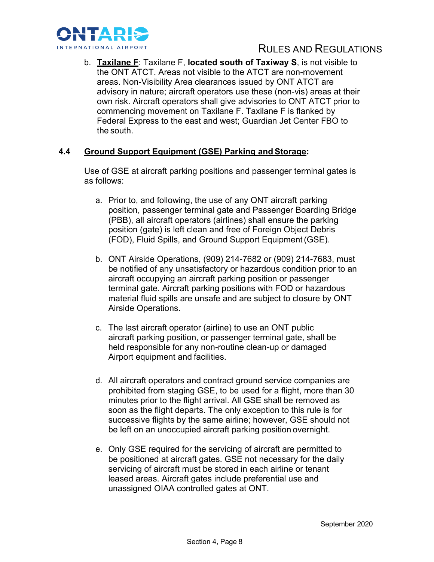

b. **Taxilane F**: Taxilane F, **located south of Taxiway S**, is not visible to the ONT ATCT. Areas not visible to the ATCT are non-movement areas. Non-Visibility Area clearances issued by ONT ATCT are advisory in nature; aircraft operators use these (non-vis) areas at their own risk. Aircraft operators shall give advisories to ONT ATCT prior to commencing movement on Taxilane F. Taxilane F is flanked by Federal Express to the east and west; Guardian Jet Center FBO to the south.

## **4.4 Ground Support Equipment (GSE) Parking and Storage:**

Use of GSE at aircraft parking positions and passenger terminal gates is as follows:

- a. Prior to, and following, the use of any ONT aircraft parking position, passenger terminal gate and Passenger Boarding Bridge (PBB), all aircraft operators (airlines) shall ensure the parking position (gate) is left clean and free of Foreign Object Debris (FOD), Fluid Spills, and Ground Support Equipment(GSE).
- b. ONT Airside Operations, (909) 214-7682 or (909) 214-7683, must be notified of any unsatisfactory or hazardous condition prior to an aircraft occupying an aircraft parking position or passenger terminal gate. Aircraft parking positions with FOD or hazardous material fluid spills are unsafe and are subject to closure by ONT Airside Operations.
- c. The last aircraft operator (airline) to use an ONT public aircraft parking position, or passenger terminal gate, shall be held responsible for any non-routine clean-up or damaged Airport equipment and facilities.
- d. All aircraft operators and contract ground service companies are prohibited from staging GSE, to be used for a flight, more than 30 minutes prior to the flight arrival. All GSE shall be removed as soon as the flight departs. The only exception to this rule is for successive flights by the same airline; however, GSE should not be left on an unoccupied aircraft parking position overnight.
- e. Only GSE required for the servicing of aircraft are permitted to be positioned at aircraft gates. GSE not necessary for the daily servicing of aircraft must be stored in each airline or tenant leased areas. Aircraft gates include preferential use and unassigned OIAA controlled gates at ONT.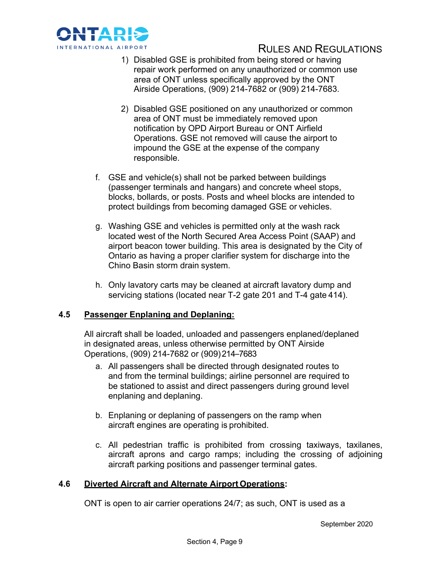

- 1) Disabled GSE is prohibited from being stored or having repair work performed on any unauthorized or common use area of ONT unless specifically approved by the ONT Airside Operations, (909) 214-7682 or (909) 214-7683.
- 2) Disabled GSE positioned on any unauthorized or common area of ONT must be immediately removed upon notification by OPD Airport Bureau or ONT Airfield Operations. GSE not removed will cause the airport to impound the GSE at the expense of the company responsible.
- f. GSE and vehicle(s) shall not be parked between buildings (passenger terminals and hangars) and concrete wheel stops, blocks, bollards, or posts. Posts and wheel blocks are intended to protect buildings from becoming damaged GSE or vehicles.
- g. Washing GSE and vehicles is permitted only at the wash rack located west of the North Secured Area Access Point (SAAP) and airport beacon tower building. This area is designated by the City of Ontario as having a proper clarifier system for discharge into the Chino Basin storm drain system.
- h. Only lavatory carts may be cleaned at aircraft lavatory dump and servicing stations (located near T-2 gate 201 and T-4 gate 414).

## **4.5 Passenger Enplaning and Deplaning:**

All aircraft shall be loaded, unloaded and passengers enplaned/deplaned in designated areas, unless otherwise permitted by ONT Airside Operations, (909) 214-7682 or (909) 214-7683

- a. All passengers shall be directed through designated routes to and from the terminal buildings; airline personnel are required to be stationed to assist and direct passengers during ground level enplaning and deplaning.
- b. Enplaning or deplaning of passengers on the ramp when aircraft engines are operating is prohibited.
- c. All pedestrian traffic is prohibited from crossing taxiways, taxilanes, aircraft aprons and cargo ramps; including the crossing of adjoining aircraft parking positions and passenger terminal gates.

## **4.6 Diverted Aircraft and Alternate Airport Operations:**

ONT is open to air carrier operations 24/7; as such, ONT is used as a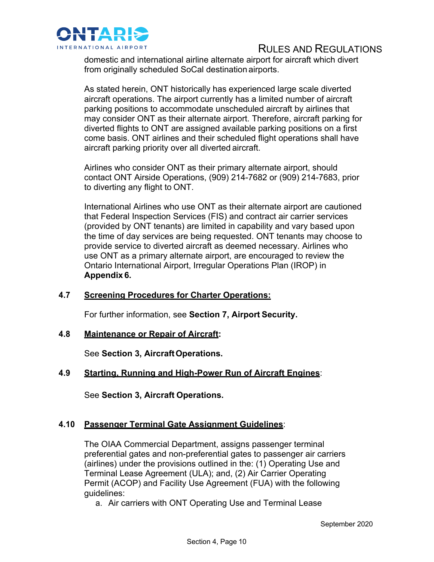

domestic and international airline alternate airport for aircraft which divert from originally scheduled SoCal destination airports.

As stated herein, ONT historically has experienced large scale diverted aircraft operations. The airport currently has a limited number of aircraft parking positions to accommodate unscheduled aircraft by airlines that may consider ONT as their alternate airport. Therefore, aircraft parking for diverted flights to ONT are assigned available parking positions on a first come basis. ONT airlines and their scheduled flight operations shall have aircraft parking priority over all diverted aircraft.

Airlines who consider ONT as their primary alternate airport, should contact ONT Airside Operations, (909) 214-7682 or (909) 214-7683, prior to diverting any flight to ONT.

International Airlines who use ONT as their alternate airport are cautioned that Federal Inspection Services (FIS) and contract air carrier services (provided by ONT tenants) are limited in capability and vary based upon the time of day services are being requested. ONT tenants may choose to provide service to diverted aircraft as deemed necessary. Airlines who use ONT as a primary alternate airport, are encouraged to review the Ontario International Airport, Irregular Operations Plan (IROP) in **Appendix 6.**

## **4.7 Screening Procedures for Charter Operations:**

For further information, see **Section 7, Airport Security.**

# **4.8 Maintenance or Repair of Aircraft:**

See **Section 3, AircraftOperations.**

# **4.9 Starting, Running and High-Power Run of Aircraft Engines**:

See **Section 3, Aircraft Operations.**

# **4.10 Passenger Terminal Gate Assignment Guidelines**:

The OIAA Commercial Department, assigns passenger terminal preferential gates and non-preferential gates to passenger air carriers (airlines) under the provisions outlined in the: (1) Operating Use and Terminal Lease Agreement (ULA); and, (2) Air Carrier Operating Permit (ACOP) and Facility Use Agreement (FUA) with the following guidelines:

a. Air carriers with ONT Operating Use and Terminal Lease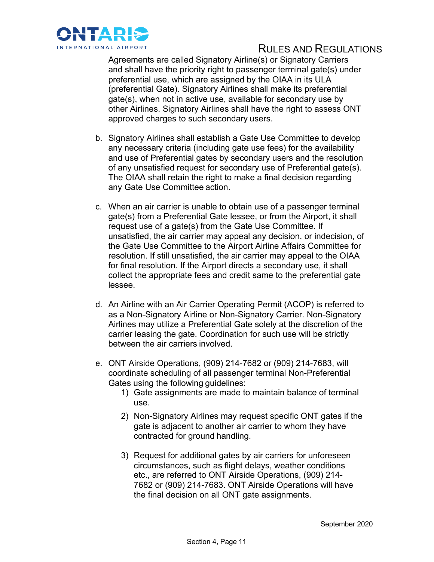

Agreements are called Signatory Airline(s) or Signatory Carriers and shall have the priority right to passenger terminal gate(s) under preferential use, which are assigned by the OIAA in its ULA (preferential Gate). Signatory Airlines shall make its preferential gate(s), when not in active use, available for secondary use by other Airlines. Signatory Airlines shall have the right to assess ONT approved charges to such secondary users.

- b. Signatory Airlines shall establish a Gate Use Committee to develop any necessary criteria (including gate use fees) for the availability and use of Preferential gates by secondary users and the resolution of any unsatisfied request for secondary use of Preferential gate(s). The OIAA shall retain the right to make a final decision regarding any Gate Use Committee action.
- c. When an air carrier is unable to obtain use of a passenger terminal gate(s) from a Preferential Gate lessee, or from the Airport, it shall request use of a gate(s) from the Gate Use Committee. If unsatisfied, the air carrier may appeal any decision, or indecision, of the Gate Use Committee to the Airport Airline Affairs Committee for resolution. If still unsatisfied, the air carrier may appeal to the OIAA for final resolution. If the Airport directs a secondary use, it shall collect the appropriate fees and credit same to the preferential gate lessee.
- d. An Airline with an Air Carrier Operating Permit (ACOP) is referred to as a Non-Signatory Airline or Non-Signatory Carrier. Non-Signatory Airlines may utilize a Preferential Gate solely at the discretion of the carrier leasing the gate. Coordination for such use will be strictly between the air carriers involved.
- e. ONT Airside Operations, (909) 214-7682 or (909) 214-7683, will coordinate scheduling of all passenger terminal Non-Preferential Gates using the following guidelines:
	- 1) Gate assignments are made to maintain balance of terminal use.
	- 2) Non-Signatory Airlines may request specific ONT gates if the gate is adjacent to another air carrier to whom they have contracted for ground handling.
	- 3) Request for additional gates by air carriers for unforeseen circumstances, such as flight delays, weather conditions etc., are referred to ONT Airside Operations, (909) 214- 7682 or (909) 214-7683. ONT Airside Operations will have the final decision on all ONT gate assignments.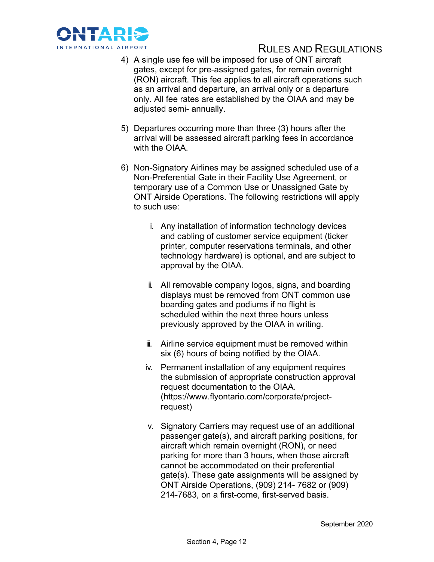

- 4) A single use fee will be imposed for use of ONT aircraft gates, except for pre-assigned gates, for remain overnight (RON) aircraft. This fee applies to all aircraft operations such as an arrival and departure, an arrival only or a departure only. All fee rates are established by the OIAA and may be adjusted semi- annually.
- 5) Departures occurring more than three (3) hours after the arrival will be assessed aircraft parking fees in accordance with the OIAA.
- 6) Non-Signatory Airlines may be assigned scheduled use of a Non-Preferential Gate in their Facility Use Agreement, or temporary use of a Common Use or Unassigned Gate by ONT Airside Operations. The following restrictions will apply to such use:
	- i. Any installation of information technology devices and cabling of customer service equipment (ticker printer, computer reservations terminals, and other technology hardware) is optional, and are subject to approval by the OIAA.
	- ii. All removable company logos, signs, and boarding displays must be removed from ONT common use boarding gates and podiums if no flight is scheduled within the next three hours unless previously approved by the OIAA in writing.
	- iii. Airline service equipment must be removed within six (6) hours of being notified by the OIAA.
	- iv. Permanent installation of any equipment requires the submission of appropriate construction approval request documentation to the OIAA. (https://www.flyontario.com/corporate/projectrequest)
	- v. Signatory Carriers may request use of an additional passenger gate(s), and aircraft parking positions, for aircraft which remain overnight (RON), or need parking for more than 3 hours, when those aircraft cannot be accommodated on their preferential gate(s). These gate assignments will be assigned by ONT Airside Operations, (909) 214- 7682 or (909) 214-7683, on a first-come, first-served basis.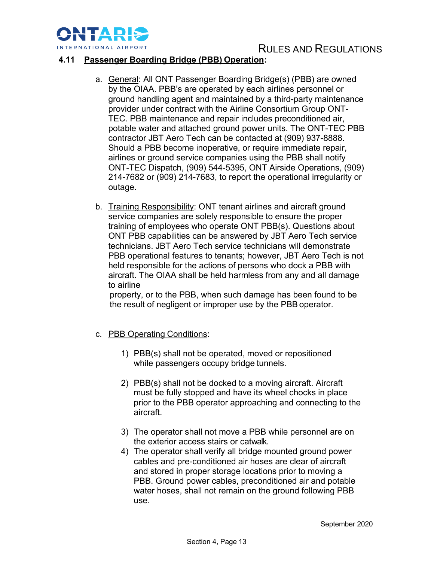

## **4.11 Passenger Boarding Bridge (PBB) Operation:**

- a. General: All ONT Passenger Boarding Bridge(s) (PBB) are owned by the OIAA. PBB's are operated by each airlines personnel or ground handling agent and maintained by a third-party maintenance provider under contract with the Airline Consortium Group ONT-TEC. PBB maintenance and repair includes preconditioned air, potable water and attached ground power units. The ONT-TEC PBB contractor JBT Aero Tech can be contacted at (909) 937-8888. Should a PBB become inoperative, or require immediate repair, airlines or ground service companies using the PBB shall notify ONT-TEC Dispatch, (909) 544-5395, ONT Airside Operations, (909) 214-7682 or (909) 214-7683, to report the operational irregularity or outage.
- b. Training Responsibility: ONT tenant airlines and aircraft ground service companies are solely responsible to ensure the proper training of employees who operate ONT PBB(s). Questions about ONT PBB capabilities can be answered by JBT Aero Tech service technicians. JBT Aero Tech service technicians will demonstrate PBB operational features to tenants; however, JBT Aero Tech is not held responsible for the actions of persons who dock a PBB with aircraft. The OIAA shall be held harmless from any and all damage to airline

property, or to the PBB, when such damage has been found to be the result of negligent or improper use by the PBB operator.

- c. PBB Operating Conditions:
	- 1) PBB(s) shall not be operated, moved or repositioned while passengers occupy bridge tunnels.
	- 2) PBB(s) shall not be docked to a moving aircraft. Aircraft must be fully stopped and have its wheel chocks in place prior to the PBB operator approaching and connecting to the aircraft.
	- 3) The operator shall not move a PBB while personnel are on the exterior access stairs or catwalk.
	- 4) The operator shall verify all bridge mounted ground power cables and pre-conditioned air hoses are clear of aircraft and stored in proper storage locations prior to moving a PBB. Ground power cables, preconditioned air and potable water hoses, shall not remain on the ground following PBB use.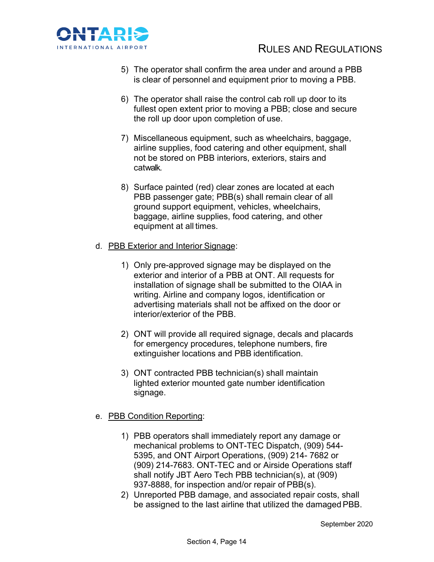

- 5) The operator shall confirm the area under and around a PBB is clear of personnel and equipment prior to moving a PBB.
- 6) The operator shall raise the control cab roll up door to its fullest open extent prior to moving a PBB; close and secure the roll up door upon completion of use.
- 7) Miscellaneous equipment, such as wheelchairs, baggage, airline supplies, food catering and other equipment, shall not be stored on PBB interiors, exteriors, stairs and catwalk.
- 8) Surface painted (red) clear zones are located at each PBB passenger gate; PBB(s) shall remain clear of all ground support equipment, vehicles, wheelchairs, baggage, airline supplies, food catering, and other equipment at all times.
- d. PBB Exterior and Interior Signage:
	- 1) Only pre-approved signage may be displayed on the exterior and interior of a PBB at ONT. All requests for installation of signage shall be submitted to the OIAA in writing. Airline and company logos, identification or advertising materials shall not be affixed on the door or interior/exterior of the PBB.
	- 2) ONT will provide all required signage, decals and placards for emergency procedures, telephone numbers, fire extinguisher locations and PBB identification.
	- 3) ONT contracted PBB technician(s) shall maintain lighted exterior mounted gate number identification signage.

## e. PBB Condition Reporting:

- 1) PBB operators shall immediately report any damage or mechanical problems to ONT-TEC Dispatch, (909) 544- 5395, and ONT Airport Operations, (909) 214- 7682 or (909) 214-7683. ONT-TEC and or Airside Operations staff shall notify JBT Aero Tech PBB technician(s), at (909) 937-8888, for inspection and/or repair of PBB(s).
- 2) Unreported PBB damage, and associated repair costs, shall be assigned to the last airline that utilized the damaged PBB.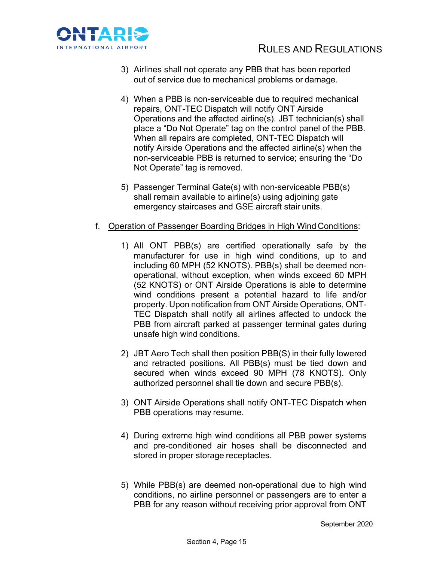

- 3) Airlines shall not operate any PBB that has been reported out of service due to mechanical problems or damage.
- 4) When a PBB is non-serviceable due to required mechanical repairs, ONT-TEC Dispatch will notify ONT Airside Operations and the affected airline(s). JBT technician(s) shall place a "Do Not Operate" tag on the control panel of the PBB. When all repairs are completed, ONT-TEC Dispatch will notify Airside Operations and the affected airline(s) when the non-serviceable PBB is returned to service; ensuring the "Do Not Operate" tag is removed.
- 5) Passenger Terminal Gate(s) with non-serviceable PBB(s) shall remain available to airline(s) using adjoining gate emergency staircases and GSE aircraft stair units.
- f. Operation of Passenger Boarding Bridges in High Wind Conditions:
	- 1) All ONT PBB(s) are certified operationally safe by the manufacturer for use in high wind conditions, up to and including 60 MPH (52 KNOTS). PBB(s) shall be deemed nonoperational, without exception, when winds exceed 60 MPH (52 KNOTS) or ONT Airside Operations is able to determine wind conditions present a potential hazard to life and/or property. Upon notification from ONT Airside Operations, ONT-TEC Dispatch shall notify all airlines affected to undock the PBB from aircraft parked at passenger terminal gates during unsafe high wind conditions.
	- 2) JBT Aero Tech shall then position PBB(S) in their fully lowered and retracted positions. All PBB(s) must be tied down and secured when winds exceed 90 MPH (78 KNOTS). Only authorized personnel shall tie down and secure PBB(s).
	- 3) ONT Airside Operations shall notify ONT-TEC Dispatch when PBB operations may resume.
	- 4) During extreme high wind conditions all PBB power systems and pre-conditioned air hoses shall be disconnected and stored in proper storage receptacles.
	- 5) While PBB(s) are deemed non-operational due to high wind conditions, no airline personnel or passengers are to enter a PBB for any reason without receiving prior approval from ONT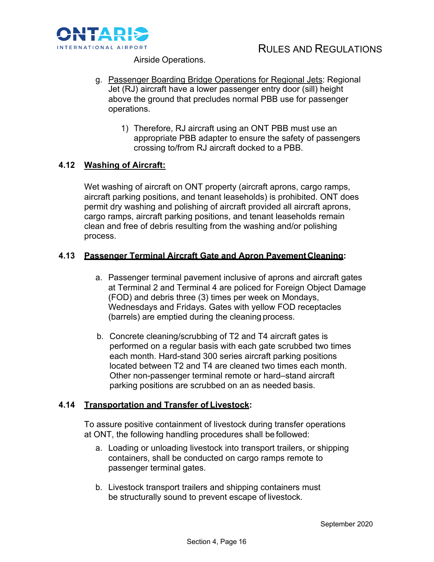

Airside Operations.

- g. Passenger Boarding Bridge Operations for Regional Jets: Regional Jet (RJ) aircraft have a lower passenger entry door (sill) height above the ground that precludes normal PBB use for passenger operations.
	- 1) Therefore, RJ aircraft using an ONT PBB must use an appropriate PBB adapter to ensure the safety of passengers crossing to/from RJ aircraft docked to a PBB.

## **4.12 Washing of Aircraft:**

Wet washing of aircraft on ONT property (aircraft aprons, cargo ramps, aircraft parking positions, and tenant leaseholds) is prohibited. ONT does permit dry washing and polishing of aircraft provided all aircraft aprons, cargo ramps, aircraft parking positions, and tenant leaseholds remain clean and free of debris resulting from the washing and/or polishing process.

## **4.13 Passenger Terminal Aircraft Gate and Apron PavementCleaning:**

- a. Passenger terminal pavement inclusive of aprons and aircraft gates at Terminal 2 and Terminal 4 are policed for Foreign Object Damage (FOD) and debris three (3) times per week on Mondays, Wednesdays and Fridays. Gates with yellow FOD receptacles (barrels) are emptied during the cleaning process.
- b. Concrete cleaning/scrubbing of T2 and T4 aircraft gates is performed on a regular basis with each gate scrubbed two times each month. Hard-stand 300 series aircraft parking positions located between T2 and T4 are cleaned two times each month. Other non-passenger terminal remote or hard–stand aircraft parking positions are scrubbed on an as needed basis.

## **4.14 Transportation and Transfer of Livestock:**

To assure positive containment of livestock during transfer operations at ONT, the following handling procedures shall be followed:

- a. Loading or unloading livestock into transport trailers, or shipping containers, shall be conducted on cargo ramps remote to passenger terminal gates.
- b. Livestock transport trailers and shipping containers must be structurally sound to prevent escape of livestock.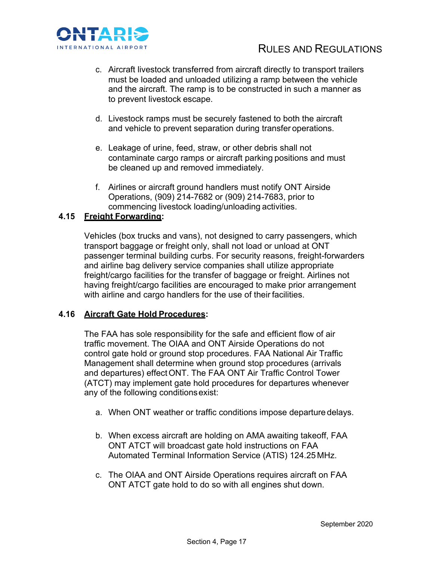

- c. Aircraft livestock transferred from aircraft directly to transport trailers must be loaded and unloaded utilizing a ramp between the vehicle and the aircraft. The ramp is to be constructed in such a manner as to prevent livestock escape.
- d. Livestock ramps must be securely fastened to both the aircraft and vehicle to prevent separation during transfer operations.
- e. Leakage of urine, feed, straw, or other debris shall not contaminate cargo ramps or aircraft parking positions and must be cleaned up and removed immediately.
- f. Airlines or aircraft ground handlers must notify ONT Airside Operations, (909) 214-7682 or (909) 214-7683, prior to commencing livestock loading/unloading activities.

## **4.15 Freight Forwarding:**

Vehicles (box trucks and vans), not designed to carry passengers, which transport baggage or freight only, shall not load or unload at ONT passenger terminal building curbs. For security reasons, freight-forwarders and airline bag delivery service companies shall utilize appropriate freight/cargo facilities for the transfer of baggage or freight. Airlines not having freight/cargo facilities are encouraged to make prior arrangement with airline and cargo handlers for the use of their facilities.

## **4.16 Aircraft Gate Hold Procedures:**

The FAA has sole responsibility for the safe and efficient flow of air traffic movement. The OIAA and ONT Airside Operations do not control gate hold or ground stop procedures. FAA National Air Traffic Management shall determine when ground stop procedures (arrivals and departures) effectONT. The FAA ONT Air Traffic Control Tower (ATCT) may implement gate hold procedures for departures whenever any of the following conditionsexist:

- a. When ONT weather or traffic conditions impose departure delays.
- b. When excess aircraft are holding on AMA awaiting takeoff, FAA ONT ATCT will broadcast gate hold instructions on FAA Automated Terminal Information Service (ATIS) 124.25 MHz.
- c. The OIAA and ONT Airside Operations requires aircraft on FAA ONT ATCT gate hold to do so with all engines shut down.